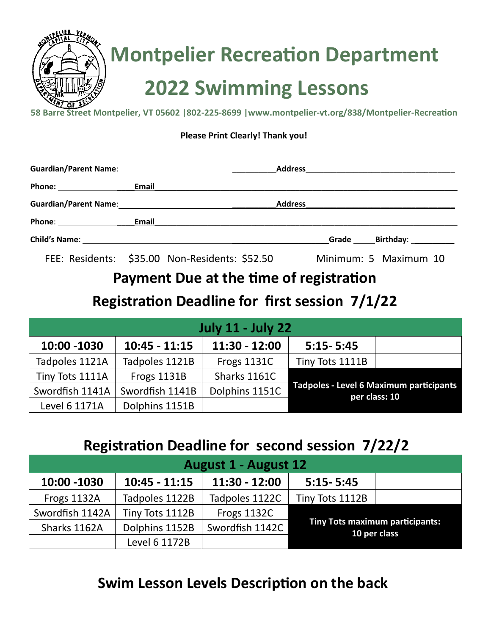

# **Montpelier Recreation Department**

## **2022 Swimming Lessons**

**58 Barre Street Montpelier, VT 05602 |802-225-8699 |www.montpelier-vt.org/838/Montpelier-Recreation**

#### **Please Print Clearly! Thank you!**

| <b>Address</b> |  |                                                                                                                      |                       |
|----------------|--|----------------------------------------------------------------------------------------------------------------------|-----------------------|
| Phone: Email   |  |                                                                                                                      |                       |
| <b>Address</b> |  | <u> 1980 - Jan Stein Bernstein, mars and der Stein Bernstein und der Stein Bernstein und der Stein Bernstein und</u> |                       |
| Phone: Email   |  |                                                                                                                      |                       |
|                |  |                                                                                                                      | Grade Birthday: 1997  |
|                |  | FEE: Residents: \$35.00 Non-Residents: \$52.50                                                                       | Minimum: 5 Maximum 10 |

### **Payment Due at the time of registration**

### **Registration Deadline for first session 7/1/22**

| <b>July 11 - July 22</b> |                 |                    |                                                          |  |  |  |
|--------------------------|-----------------|--------------------|----------------------------------------------------------|--|--|--|
| 10:00 -1030              | $10:45 - 11:15$ | $11:30 - 12:00$    | $5:15 - 5:45$                                            |  |  |  |
| Tadpoles 1121A           | Tadpoles 1121B  | <b>Frogs 1131C</b> | Tiny Tots 1111B                                          |  |  |  |
| Tiny Tots 1111A          | Frogs 1131B     | Sharks 1161C       | Tadpoles - Level 6 Maximum participants<br>per class: 10 |  |  |  |
| Swordfish 1141A          | Swordfish 1141B | Dolphins 1151C     |                                                          |  |  |  |
| Level 6 1171A            | Dolphins 1151B  |                    |                                                          |  |  |  |

### **Registration Deadline for second session 7/22/2**

| August 1 - August 12 |                 |                 |                                                        |  |  |  |
|----------------------|-----------------|-----------------|--------------------------------------------------------|--|--|--|
| 10:00 -1030          | $10:45 - 11:15$ | $11:30 - 12:00$ | $5:15 - 5:45$                                          |  |  |  |
| Frogs 1132A          | Tadpoles 1122B  | Tadpoles 1122C  | Tiny Tots 1112B                                        |  |  |  |
| Swordfish 1142A      | Tiny Tots 1112B | Frogs 1132C     | <b>Tiny Tots maximum participants:</b><br>10 per class |  |  |  |
| Sharks 1162A         | Dolphins 1152B  | Swordfish 1142C |                                                        |  |  |  |
|                      | Level 6 1172B   |                 |                                                        |  |  |  |

### **Swim Lesson Levels Description on the back**